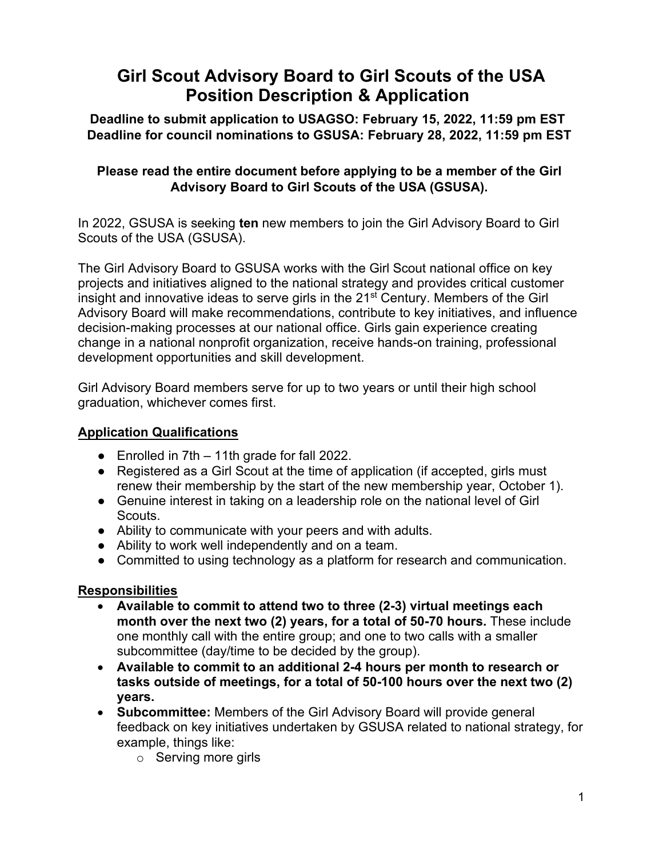# **Girl Scout Advisory Board to Girl Scouts of the USA Position Description & Application**

**Deadline to submit application to USAGSO: February 15, 2022, 11:59 pm EST Deadline for council nominations to GSUSA: February 28, 2022, 11:59 pm EST** 

# **Please read the entire document before applying to be a member of the Girl Advisory Board to Girl Scouts of the USA (GSUSA).**

In 2022, GSUSA is seeking **ten** new members to join the Girl Advisory Board to Girl Scouts of the USA (GSUSA).

The Girl Advisory Board to GSUSA works with the Girl Scout national office on key projects and initiatives aligned to the national strategy and provides critical customer insight and innovative ideas to serve girls in the 21<sup>st</sup> Century. Members of the Girl Advisory Board will make recommendations, contribute to key initiatives, and influence decision-making processes at our national office. Girls gain experience creating change in a national nonprofit organization, receive hands-on training, professional development opportunities and skill development.

Girl Advisory Board members serve for up to two years or until their high school graduation, whichever comes first.

# **Application Qualifications**

- Enrolled in 7th 11th grade for fall 2022.
- Registered as a Girl Scout at the time of application (if accepted, girls must renew their membership by the start of the new membership year, October 1).
- Genuine interest in taking on a leadership role on the national level of Girl Scouts.
- Ability to communicate with your peers and with adults.
- Ability to work well independently and on a team.
- Committed to using technology as a platform for research and communication.

# **Responsibilities**

- **Available to commit to attend two to three (2-3) virtual meetings each month over the next two (2) years, for a total of 50-70 hours.** These include one monthly call with the entire group; and one to two calls with a smaller subcommittee (day/time to be decided by the group).
- **Available to commit to an additional 2-4 hours per month to research or tasks outside of meetings, for a total of 50-100 hours over the next two (2) years.**
- **Subcommittee:** Members of the Girl Advisory Board will provide general feedback on key initiatives undertaken by GSUSA related to national strategy, for example, things like:
	- o Serving more girls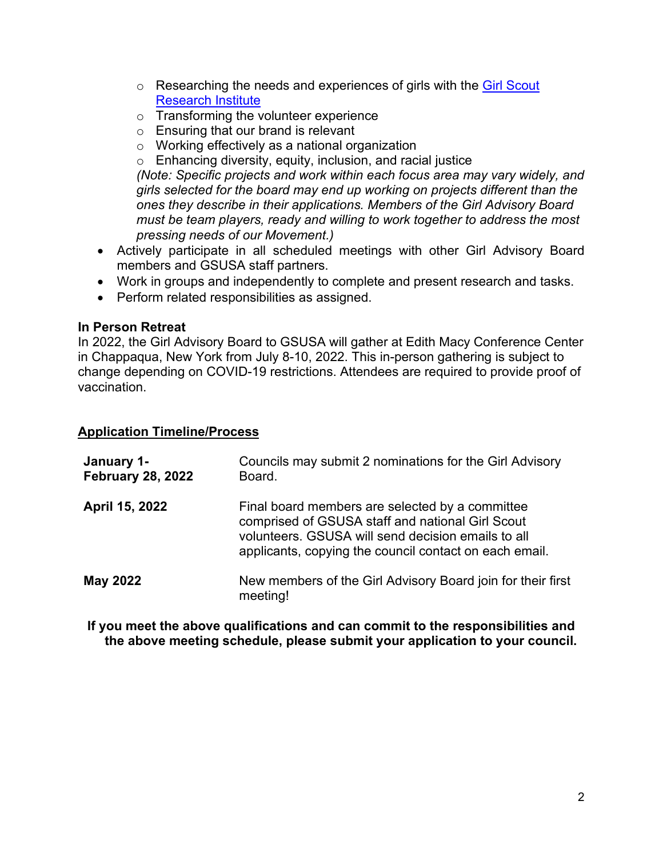- $\circ$  Researching the needs and experiences of girls with the [Girl Scout](https://www.girlscouts.org/en/about-girl-scouts/research.html) [Research Institute](https://www.girlscouts.org/en/about-girl-scouts/research.html)
- o Transforming the volunteer experience
- o Ensuring that our brand is relevant
- o Working effectively as a national organization
- o Enhancing diversity, equity, inclusion, and racial justice

*(Note: Specific projects and work within each focus area may vary widely, and girls selected for the board may end up working on projects different than the ones they describe in their applications. Members of the Girl Advisory Board must be team players, ready and willing to work together to address the most pressing needs of our Movement.)*

- Actively participate in all scheduled meetings with other Girl Advisory Board members and GSUSA staff partners.
- Work in groups and independently to complete and present research and tasks.
- Perform related responsibilities as assigned.

#### **In Person Retreat**

In 2022, the Girl Advisory Board to GSUSA will gather at Edith Macy Conference Center in Chappaqua, New York from July 8-10, 2022. This in-person gathering is subject to change depending on COVID-19 restrictions. Attendees are required to provide proof of vaccination.

### **Application Timeline/Process**

| January 1-<br><b>February 28, 2022</b> | Councils may submit 2 nominations for the Girl Advisory<br>Board.                                                                                                                                                   |
|----------------------------------------|---------------------------------------------------------------------------------------------------------------------------------------------------------------------------------------------------------------------|
| April 15, 2022                         | Final board members are selected by a committee<br>comprised of GSUSA staff and national Girl Scout<br>volunteers. GSUSA will send decision emails to all<br>applicants, copying the council contact on each email. |
| <b>May 2022</b>                        | New members of the Girl Advisory Board join for their first<br>meeting!                                                                                                                                             |

**If you meet the above qualifications and can commit to the responsibilities and the above meeting schedule, please submit your application to your council.**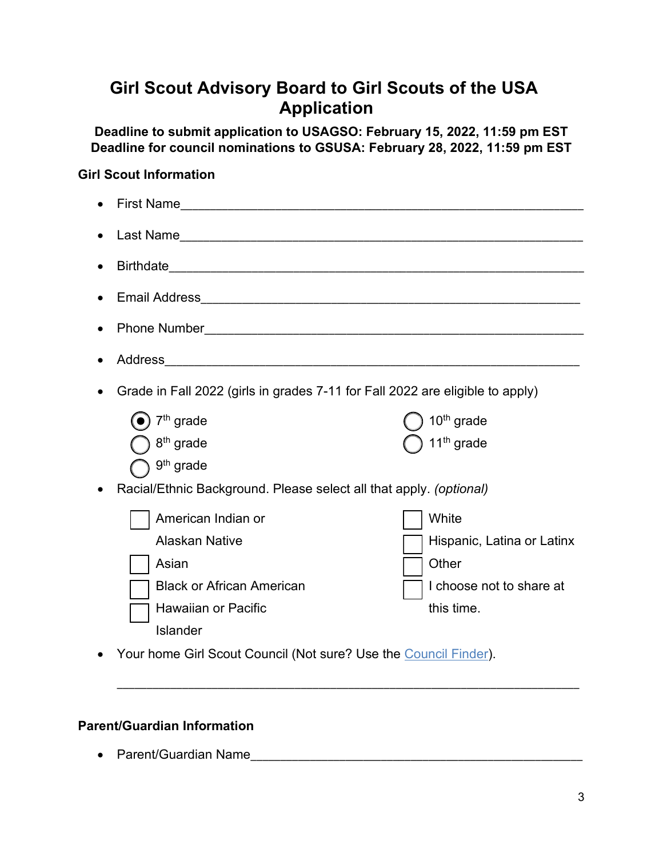# **Girl Scout Advisory Board to Girl Scouts of the USA Application**

**Deadline to submit application to USAGSO: February 15, 2022, 11:59 pm EST Deadline for council nominations to GSUSA: February 28, 2022, 11:59 pm EST** 

## **Girl Scout Information**

| $\bullet$ |                                                                                                                                    |                                                                                        |  |
|-----------|------------------------------------------------------------------------------------------------------------------------------------|----------------------------------------------------------------------------------------|--|
| $\bullet$ |                                                                                                                                    |                                                                                        |  |
|           |                                                                                                                                    |                                                                                        |  |
|           |                                                                                                                                    |                                                                                        |  |
| $\bullet$ |                                                                                                                                    |                                                                                        |  |
|           |                                                                                                                                    |                                                                                        |  |
| $\bullet$ | Grade in Fall 2022 (girls in grades 7-11 for Fall 2022 are eligible to apply)                                                      |                                                                                        |  |
|           | $7th$ grade<br>8 <sup>th</sup> grade                                                                                               | 10 <sup>th</sup> grade<br>11 <sup>th</sup> grade                                       |  |
| $\bullet$ | 9 <sup>th</sup> grade<br>Racial/Ethnic Background. Please select all that apply. (optional)                                        |                                                                                        |  |
|           | American Indian or<br><b>Alaskan Native</b><br>Asian<br><b>Black or African American</b><br><b>Hawaiian or Pacific</b><br>Islander | White<br>Hispanic, Latina or Latinx<br>Other<br>I choose not to share at<br>this time. |  |
|           | Your home Girl Scout Council (Not sure? Use the Council Finder).                                                                   |                                                                                        |  |

\_\_\_\_\_\_\_\_\_\_\_\_\_\_\_\_\_\_\_\_\_\_\_\_\_\_\_\_\_\_\_\_\_\_\_\_\_\_\_\_\_\_\_\_\_\_\_\_\_\_\_\_\_\_\_\_\_\_\_\_\_\_\_\_\_\_\_\_\_\_\_\_\_\_\_\_\_\_

#### **Parent/Guardian Information**

• Parent/Guardian Name\_\_\_\_\_\_\_\_\_\_\_\_\_\_\_\_\_\_\_\_\_\_\_\_\_\_\_\_\_\_\_\_\_\_\_\_\_\_\_\_\_\_\_\_\_\_\_\_\_\_\_\_\_\_\_\_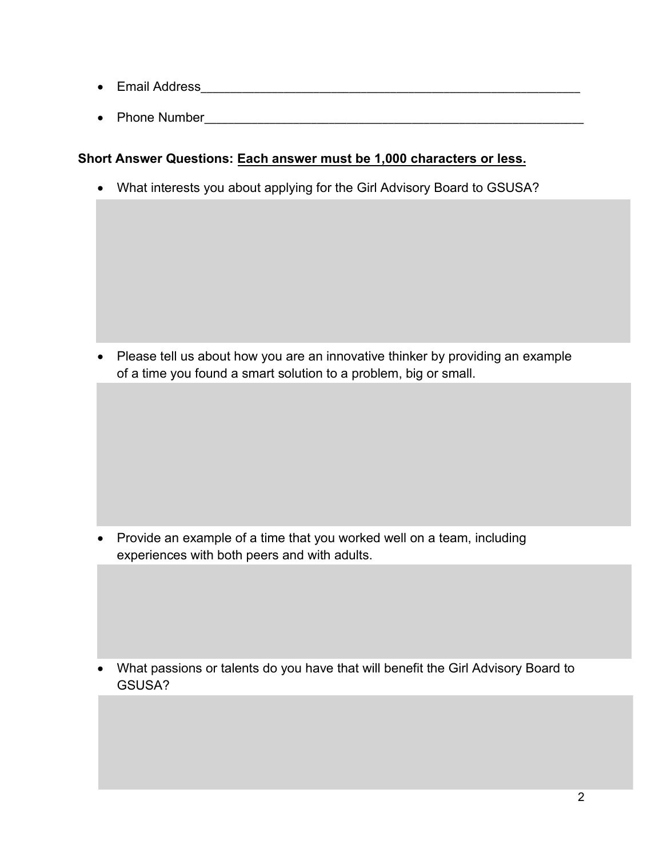- Email Address\_\_\_\_\_\_\_\_\_\_\_\_\_\_\_\_\_\_\_\_\_\_\_\_\_\_\_\_\_\_\_\_\_\_\_\_\_\_\_\_\_\_\_\_\_\_\_\_\_\_\_\_\_\_\_\_\_\_\_\_\_\_\_\_
- Phone Number\_\_\_\_\_\_\_\_\_\_\_\_\_\_\_\_\_\_\_\_\_\_\_\_\_\_\_\_\_\_\_\_\_\_\_\_\_\_\_\_\_\_\_\_\_\_\_\_\_\_\_\_\_\_\_\_\_\_\_\_\_\_\_\_

# **Short Answer Questions: Each answer must be 1,000 characters or less.**

• What interests you about applying for the Girl Advisory Board to GSUSA?

• Please tell us about how you are an innovative thinker by providing an example of a time you found a smart solution to a problem, big or small.

• Provide an example of a time that you worked well on a team, including experiences with both peers and with adults.

• What passions or talents do you have that will benefit the Girl Advisory Board to GSUSA?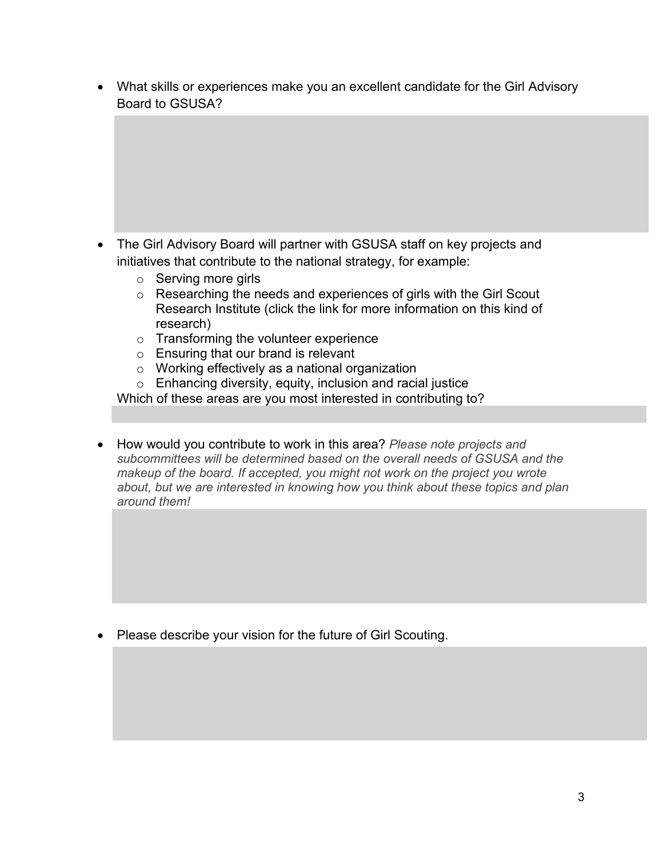• What skills or experiences make you an excellent candidate for the Girl Advisory Board to GSUSA?

- The Girl Advisory Board will partner with GSUSA staff on key projects and initiatives that contribute to the national strategy, for example:
	- o Serving more girls
	- o Researching the needs and experiences of girls with the Girl Scout Research Institute (click the link for more information on this kind of research)
	- o Transforming the volunteer experience
	- o Ensuring that our brand is relevant
	- o Working effectively as a national organization
	- $\circ$  Enhancing diversity, equity, inclusion and racial justice

Which of these areas are you most interested in contributing to?

• How would you contribute to work in this area? *Please note projects and subcommittees will be determined based on the overall needs of GSUSA and the makeup of the board. If accepted, you might not work on the project you wrote about, but we are interested in knowing how you think about these topics and plan around them!*

• Please describe your vision for the future of Girl Scouting.